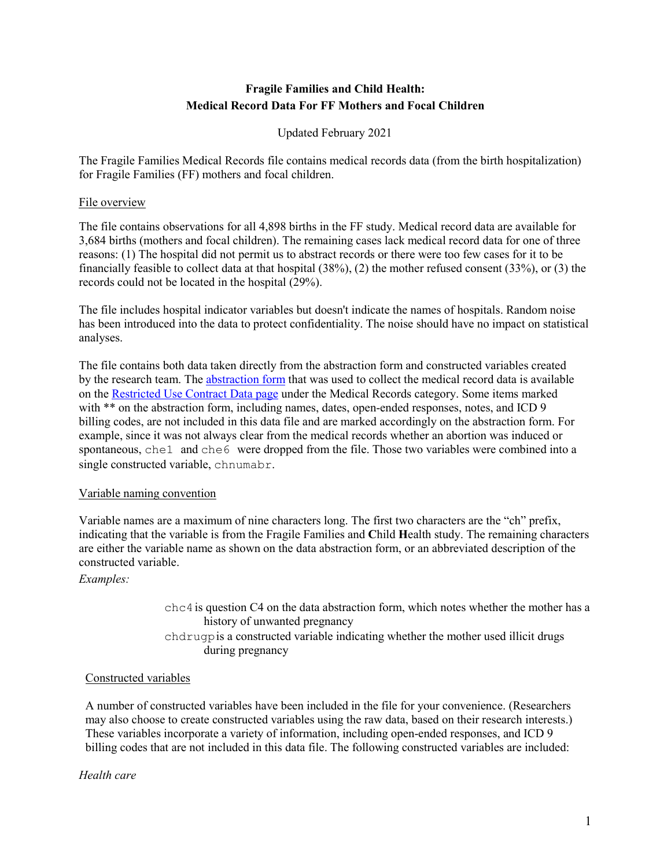# **Fragile Families and Child Health: Medical Record Data For FF Mothers and Focal Children**

Updated February 2021

The Fragile Families Medical Records file contains medical records data (from the birth hospitalization) for Fragile Families (FF) mothers and focal children.

## File overview

The file contains observations for all 4,898 births in the FF study. Medical record data are available for 3,684 births (mothers and focal children). The remaining cases lack medical record data for one of three reasons: (1) The hospital did not permit us to abstract records or there were too few cases for it to be financially feasible to collect data at that hospital (38%), (2) the mother refused consent (33%), or (3) the records could not be located in the hospital (29%).

The file includes hospital indicator variables but doesn't indicate the names of hospitals. Random noise has been introduced into the data to protect confidentiality. The noise should have no impact on statistical analyses.

The file contains both data taken directly from the abstraction form and constructed variables created by the research team. The [abstraction form](https://fragilefamilies.princeton.edu/sites/fragilefamilies/files/datacollectionform-0707v4.pdf) that was used to collect the medical record data is available on the [Restricted Use Contract Data page](https://fragilefamilies.princeton.edu/restricted/medrecs) under the Medical Records category. Some items marked with \*\* on the abstraction form, including names, dates, open-ended responses, notes, and ICD 9 billing codes, are not included in this data file and are marked accordingly on the abstraction form. For example, since it was not always clear from the medical records whether an abortion was induced or spontaneous, che1 and che6 were dropped from the file. Those two variables were combined into a single constructed variable, chnumabr.

#### Variable naming convention

Variable names are a maximum of nine characters long. The first two characters are the "ch" prefix, indicating that the variable is from the Fragile Families and **C**hild **H**ealth study. The remaining characters are either the variable name as shown on the data abstraction form, or an abbreviated description of the constructed variable.

*Examples:*

 $chc4$  is question C4 on the data abstraction form, which notes whether the mother has a history of unwanted pregnancy chdrugpis a constructed variable indicating whether the mother used illicit drugs during pregnancy

## Constructed variables

A number of constructed variables have been included in the file for your convenience. (Researchers may also choose to create constructed variables using the raw data, based on their research interests.) These variables incorporate a variety of information, including open-ended responses, and ICD 9 billing codes that are not included in this data file. The following constructed variables are included:

#### *Health care*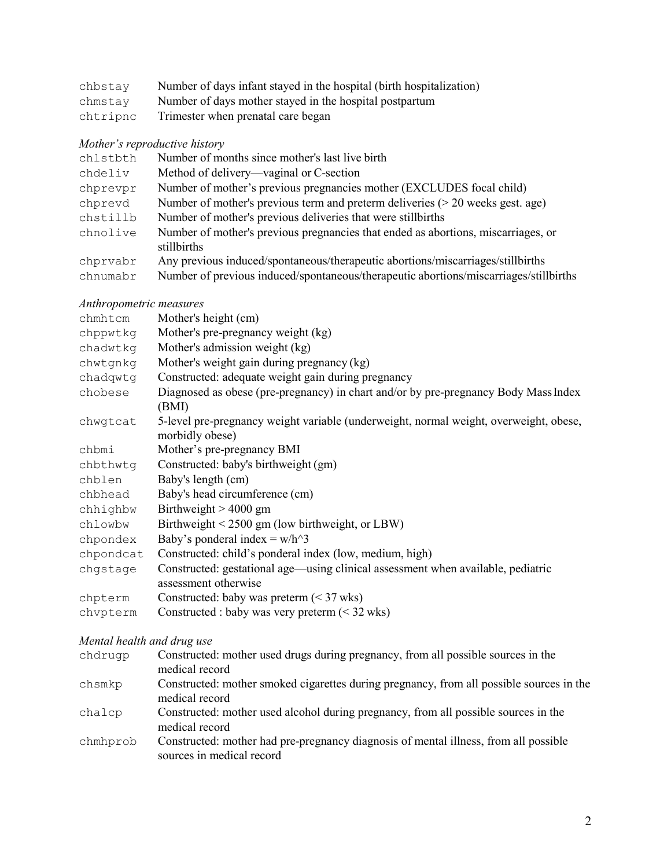| chbstay  | Number of days infant stayed in the hospital (birth hospitalization) |
|----------|----------------------------------------------------------------------|
| chmstay  | Number of days mother stayed in the hospital postpartum              |
| chtripnc | Trimester when prenatal care began                                   |

# *Mother's reproductive history*

| chlstbth | Number of months since mother's last live birth                                       |
|----------|---------------------------------------------------------------------------------------|
| chdeliv  | Method of delivery—vaginal or C-section                                               |
| chprevpr | Number of mother's previous pregnancies mother (EXCLUDES focal child)                 |
| chprevd  | Number of mother's previous term and preterm deliveries $(> 20$ weeks gest. age)      |
| chstillb | Number of mother's previous deliveries that were stillbirths                          |
| chnolive | Number of mother's previous pregnancies that ended as abortions, miscarriages, or     |
|          | stillbirths                                                                           |
| chprvabr | Any previous induced/spontaneous/therapeutic abortions/miscarriages/stillbirths       |
| chnumabr | Number of previous induced/spontaneous/therapeutic abortions/miscarriages/stillbirths |

# *Anthropometric measures*

| chmhtcm   | Mother's height (cm)                                                                                     |
|-----------|----------------------------------------------------------------------------------------------------------|
| chppwtkg  | Mother's pre-pregnancy weight (kg)                                                                       |
| chadwtkg  | Mother's admission weight (kg)                                                                           |
| chwtgnkg  | Mother's weight gain during pregnancy (kg)                                                               |
| chadqwtg  | Constructed: adequate weight gain during pregnancy                                                       |
| chobese   | Diagnosed as obese (pre-pregnancy) in chart and/or by pre-pregnancy Body Mass Index<br>(BMI)             |
| chwgtcat  | 5-level pre-pregnancy weight variable (underweight, normal weight, overweight, obese,<br>morbidly obese) |
| chbmi     | Mother's pre-pregnancy BMI                                                                               |
| chbthwtg  | Constructed: baby's birthweight (gm)                                                                     |
| chblen    | Baby's length (cm)                                                                                       |
| chbhead   | Baby's head circumference (cm)                                                                           |
| chhighbw  | Birthweight $> 4000$ gm                                                                                  |
| chlowbw   | Birthweight < 2500 gm (low birthweight, or LBW)                                                          |
| chpondex  | Baby's ponderal index = $w/h^{3}$                                                                        |
| chpondcat | Constructed: child's ponderal index (low, medium, high)                                                  |
| chgstage  | Constructed: gestational age—using clinical assessment when available, pediatric                         |
|           | assessment otherwise                                                                                     |
| chpterm   | Constructed: baby was preterm $(< 37$ wks)                                                               |
| chvpterm  | Constructed : baby was very preterm $(< 32$ wks)                                                         |

# *Mental health and drug use*

| chdrugp  | Constructed: mother used drugs during pregnancy, from all possible sources in the                                 |
|----------|-------------------------------------------------------------------------------------------------------------------|
|          | medical record                                                                                                    |
| chsmkp   | Constructed: mother smoked cigarettes during pregnancy, from all possible sources in the                          |
|          | medical record                                                                                                    |
| chalcp   | Constructed: mother used alcohol during pregnancy, from all possible sources in the                               |
|          | medical record                                                                                                    |
| chmhprob | Constructed: mother had pre-pregnancy diagnosis of mental illness, from all possible<br>sources in medical record |
|          |                                                                                                                   |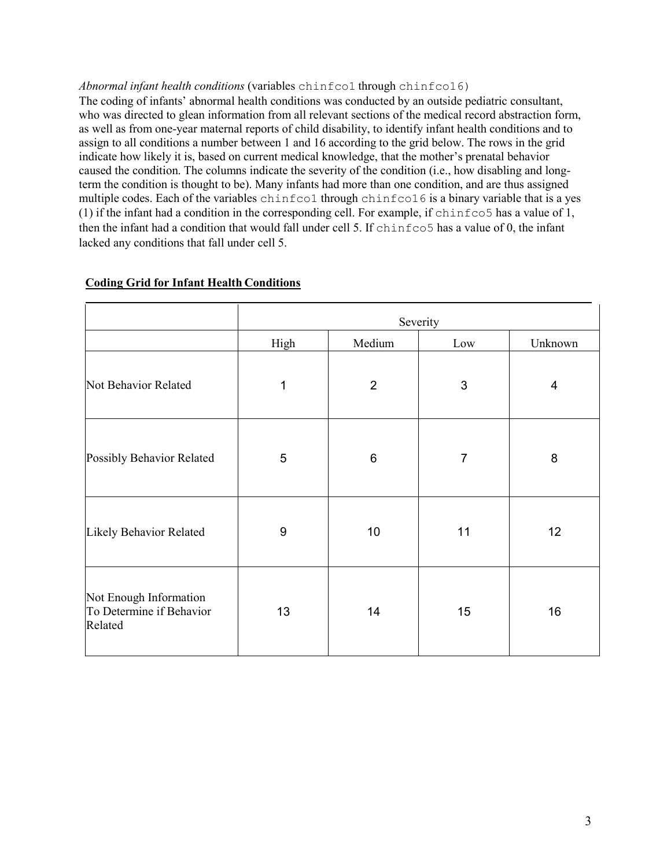#### *Abnormal infant health conditions* (variables chinfco1 through chinfco16)

The coding of infants' abnormal health conditions was conducted by an outside pediatric consultant, who was directed to glean information from all relevant sections of the medical record abstraction form, as well as from one-year maternal reports of child disability, to identify infant health conditions and to assign to all conditions a number between 1 and 16 according to the grid below. The rows in the grid indicate how likely it is, based on current medical knowledge, that the mother's prenatal behavior caused the condition. The columns indicate the severity of the condition (i.e., how disabling and longterm the condition is thought to be). Many infants had more than one condition, and are thus assigned multiple codes. Each of the variables chinfco1 through chinfco16 is a binary variable that is a yes (1) if the infant had a condition in the corresponding cell. For example, if chinfco5 has a value of 1, then the infant had a condition that would fall under cell 5. If chinfco5 has a value of 0, the infant lacked any conditions that fall under cell 5.

|                                                               | Severity     |                |                |         |
|---------------------------------------------------------------|--------------|----------------|----------------|---------|
|                                                               | High         | Medium         | Low            | Unknown |
| Not Behavior Related                                          | $\mathbf{1}$ | $\overline{2}$ | $\mathsf 3$    | 4       |
| Possibly Behavior Related                                     | 5            | $\,6$          | $\overline{7}$ | 8       |
| Likely Behavior Related                                       | $9\,$        | 10             | 11             | 12      |
| Not Enough Information<br>To Determine if Behavior<br>Related | 13           | 14             | 15             | 16      |

## **Coding Grid for Infant Health Conditions**